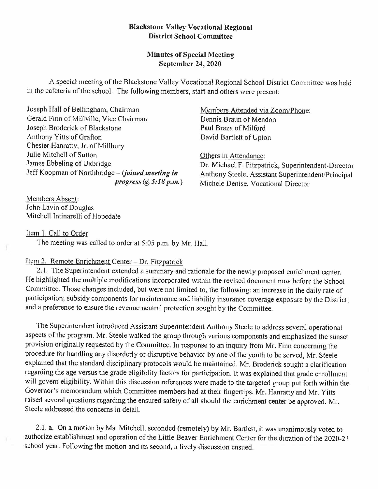### **Blackstone Valley Vocational Regional District School Committee**

# **Minutes of Special Meeting September 24, 2020**

A special meeting of the Blackstone Valley Vocational Regional School District Committee was held in the cafeteria of the school. The following members, staff and others were present:

Joseph Hall of Bellingham, Chainnan Gerald Finn of Millville, Vice Chairman Joseph Broderick of Blackstone Anthony Yitts of Grafton Chester Hanratty, Jr. of Millbury Julie Mitchell of Sutton James Ebbeling of Uxbridge Jeff Koopman of Northbridge – *(joined meeting in progress@5:18 p.111.)* 

Members Absent: John Lavin of Douglas Mitchell lntinarelli of Hopedale Members Attended via Zoom/Phone: Dennis Braun of Mendon Paul Braza of Milford David Bartlett of Upton

Others in Attendance: Dr. Michael F. Fitzpatrick, Superintendent-Director Anthony Steele, Assistant Superintendent/Principal Michele Denise, Vocational Director

Item I. Call to Order

The meeting was called to order at 5:05 p.m. by Mr. Hall.

## Item 2. Remote Enrichment Center - Dr. Fitzpatrick

2.1. The Superintendent extended a summary and rationale for the newly proposed enrichment center. He highlighted the multiple modifications incorporated within the revised document now before the School Committee. Those changes included, but were not limited to, the following: an increase in the daily rate of participation; subsidy components for maintenance and liability insurance coverage exposure by the District; and a preference to ensure the revenue neutral protection sought by the Committee.

The Superintendent introduced Assistant Superintendent Anthony Steele to address several operational aspects of the program. Mr. Steele walked the group through various components and emphasized the sunset provision originally requested by the Committee. In response to an inquiry from Mr. Finn concerning the procedure for handling any disorderly or disruptive behavior by one of the youth to be served, Mr. Steele explained that the standard disciplinary protocols would be maintained. Mr. Broderick sought a clarification regarding the age versus the grade eligibility factors for participation. It was explained that grade enrollment will govern eligibility. Within this discussion references were made to the targeted group put forth within the Governor's memorandum which Committee members had at their fingertips. Mr. Hanratty and Mr. Yitts raised several questions regarding the ensured safety of all should the enrichment center be approved. Mr. Steele addressed the concerns in detail.

2. I. a. On a motion by Ms. Mitchell, seconded (remotely) by Mr. Bartlett, it was unanimously voted to authorize establishment and operation of the Little Beaver Enrichment Center for the duration of the 2020-21 school year. Following the motion and its second, a lively discussion ensued.